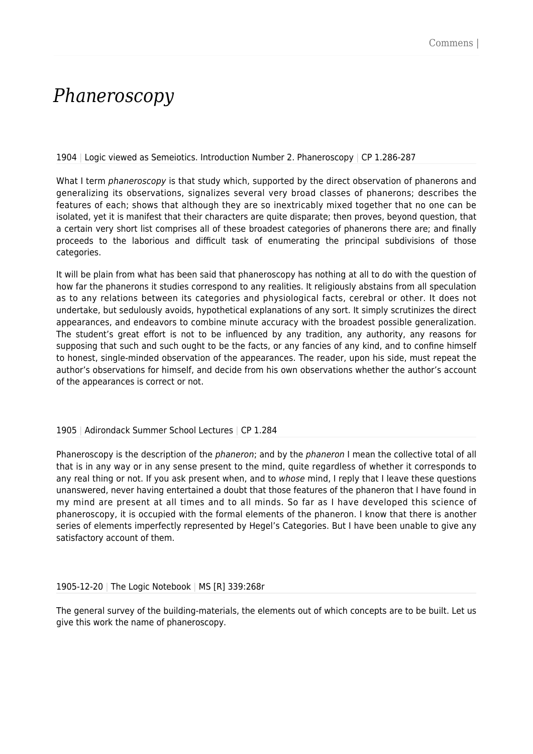## *Phaneroscopy*

1904 | Logic viewed as Semeiotics. Introduction Number 2. Phaneroscopy | CP 1.286-287

What I term phaneroscopy is that study which, supported by the direct observation of phanerons and generalizing its observations, signalizes several very broad classes of phanerons; describes the features of each; shows that although they are so inextricably mixed together that no one can be isolated, yet it is manifest that their characters are quite disparate; then proves, beyond question, that a certain very short list comprises all of these broadest categories of phanerons there are; and finally proceeds to the laborious and difficult task of enumerating the principal subdivisions of those categories.

It will be plain from what has been said that phaneroscopy has nothing at all to do with the question of how far the phanerons it studies correspond to any realities. It religiously abstains from all speculation as to any relations between its categories and physiological facts, cerebral or other. It does not undertake, but sedulously avoids, hypothetical explanations of any sort. It simply scrutinizes the direct appearances, and endeavors to combine minute accuracy with the broadest possible generalization. The student's great effort is not to be influenced by any tradition, any authority, any reasons for supposing that such and such ought to be the facts, or any fancies of any kind, and to confine himself to honest, single-minded observation of the appearances. The reader, upon his side, must repeat the author's observations for himself, and decide from his own observations whether the author's account of the appearances is correct or not.

## 1905 | Adirondack Summer School Lectures | CP 1.284

Phaneroscopy is the description of the *phaneron*; and by the *phaneron* I mean the collective total of all that is in any way or in any sense present to the mind, quite regardless of whether it corresponds to any real thing or not. If you ask present when, and to whose mind, I reply that I leave these questions unanswered, never having entertained a doubt that those features of the phaneron that I have found in my mind are present at all times and to all minds. So far as I have developed this science of phaneroscopy, it is occupied with the formal elements of the phaneron. I know that there is another series of elements imperfectly represented by Hegel's Categories. But I have been unable to give any satisfactory account of them.

1905-12-20 | The Logic Notebook | MS [R] 339:268r

The general survey of the building-materials, the elements out of which concepts are to be built. Let us give this work the name of phaneroscopy.